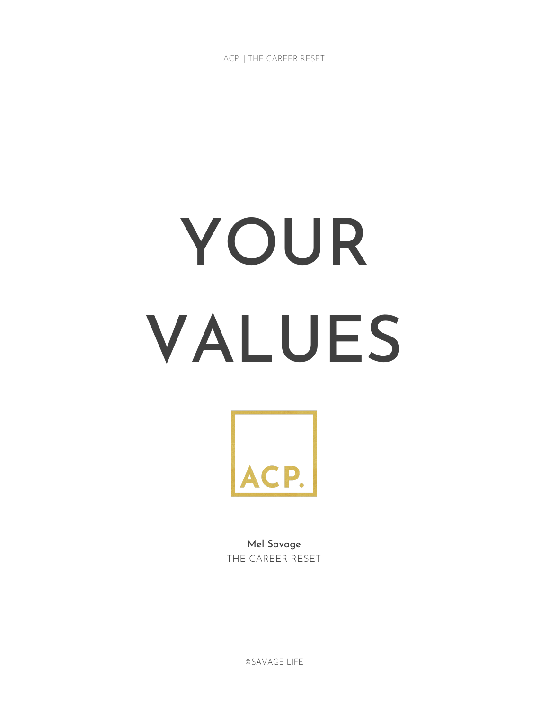ACP | THE CAREER RESET

# YOUR VALUES CP.

Mel Savage THE CAREER RESET

©SAVAGE LIFE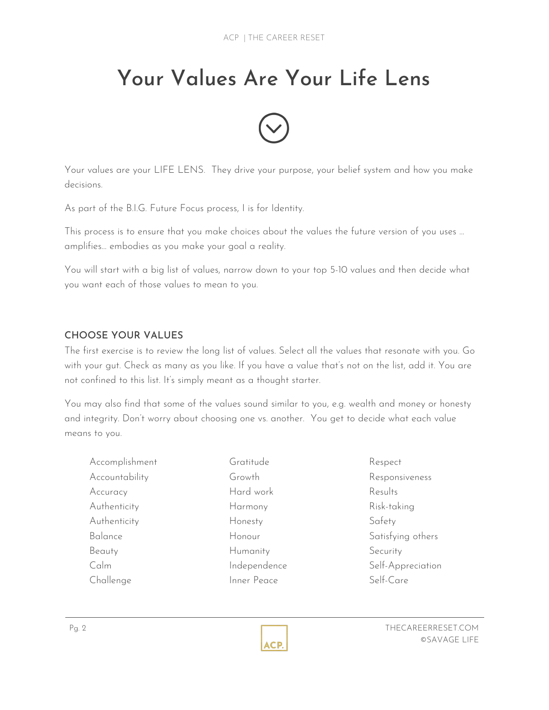# Your Values Are Your Life Lens



Your values are your LIFE LENS. They drive your purpose, your belief system and how you make decisions.

As part of the B.I.G. Future Focus process, I is for Identity.

This process is to ensure that you make choices about the values the future version of you uses … amplifies… embodies as you make your goal a reality.

You will start with a big list of values, narrow down to your top 5-10 values and then decide what you want each of those values to mean to you.

#### CHOOSE YOUR VALUES

The first exercise is to review the long list of values. Select all the values that resonate with you. Go with your gut. Check as many as you like. If you have a value that's not on the list, add it. You are not confined to this list. It's simply meant as a thought starter.

You may also find that some of the values sound similar to you, e.g. wealth and money or honesty and integrity. Don't worry about choosing one vs. another. You get to decide what each value means to you.

| Accomplishment | Gratitude    |
|----------------|--------------|
| Accountability | Growth       |
| Accuracy       | Hard work    |
| Authenticity   | Harmony      |
| Authenticity   | Honesty      |
| Balance        | Honour       |
| Beauty         | Humanity     |
| Calm           | Independence |
| Challenge      | Inner Peace  |

Respect Responsiveness Results Risk-taking Safety Satisfying others **Security** Self-Appreciation Self-Care

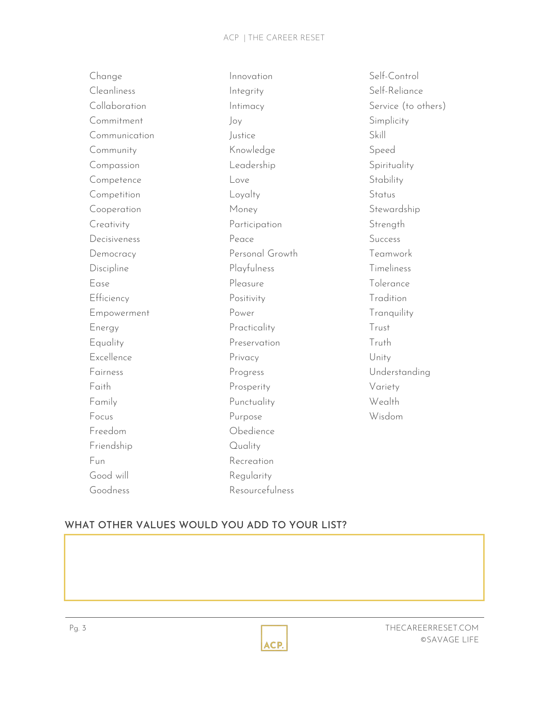#### ACP | THE CAREER RESET

| Change        | Innovation      | Self-Control        |
|---------------|-----------------|---------------------|
| Cleanliness   | Integrity       | Self-Reliance       |
| Collaboration | Intimacy        | Service (to others) |
| Commitment    | Joy             | Simplicity          |
| Communication | Justice         | Skill               |
| Community     | Knowledge       | Speed               |
| Compassion    | Leadership      | Spirituality        |
| Competence    | Love            | Stability           |
| Competition   | Loyalty         | Status              |
| Cooperation   | Money           | Stewardship         |
| Creativity    | Participation   | Strength            |
| Decisiveness  | Peace           | Success             |
| Democracy     | Personal Growth | Teamwork            |
| Discipline    | Playfulness     | Timeliness          |
| Ease          | Pleasure        | Tolerance           |
| Efficiency    | Positivity      | Tradition           |
| Empowerment   | Power           | Tranquility         |
| Energy        | Practicality    | Trust               |
| Equality      | Preservation    | Truth               |
| Excellence    | Privacy         | Unity               |
| Fairness      | Progress        | Understanding       |
| Faith         | Prosperity      | Variety             |
| Family        | Punctuality     | Wealth              |
| Focus         | Purpose         | Wisdom              |
| Freedom       | Obedience       |                     |
| Friendship    | Quality         |                     |
| Fun           | Recreation      |                     |
| Good will     | Regularity      |                     |
| Goodness      | Resourcefulness |                     |

## WHAT OTHER VALUES WOULD YOU ADD TO YOUR LIST?



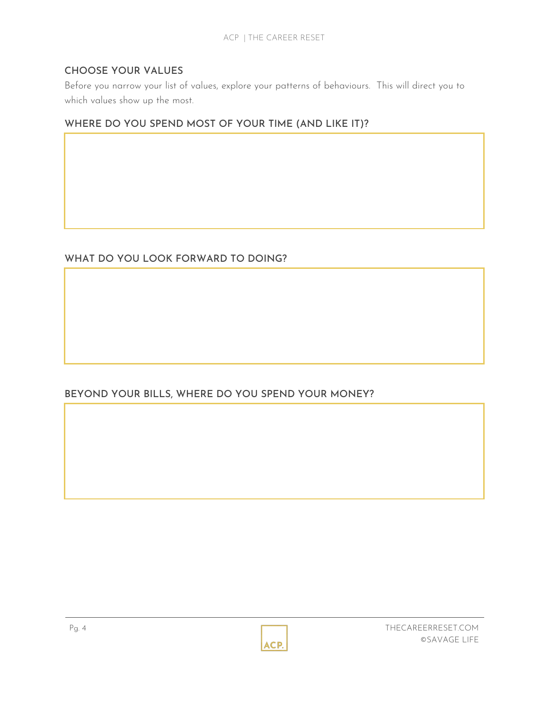#### CHOOSE YOUR VALUES

Before you narrow your list of values, explore your patterns of behaviours. This will direct you to which values show up the most.

#### WHERE DO YOU SPEND MOST OF YOUR TIME (AND LIKE IT)?

#### WHAT DO YOU LOOK FORWARD TO DOING?

#### BEYOND YOUR BILLS, WHERE DO YOU SPEND YOUR MONEY?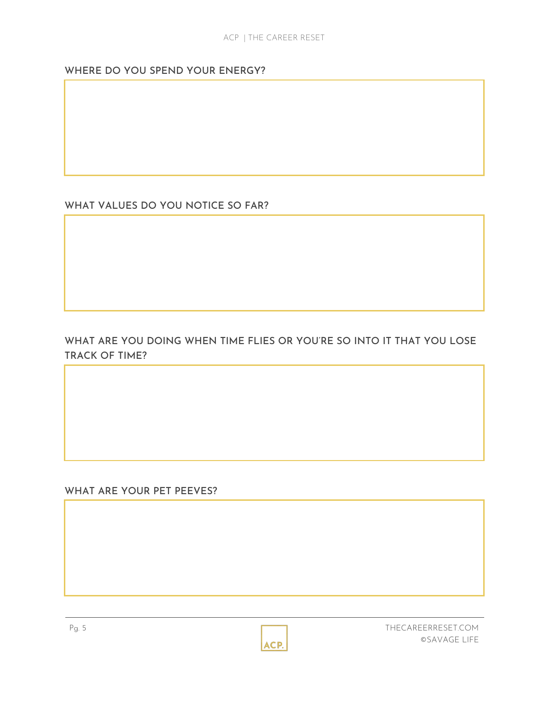#### WHERE DO YOU SPEND YOUR ENERGY?

WHAT VALUES DO YOU NOTICE SO FAR?

### WHAT ARE YOU DOING WHEN TIME FLIES OR YOU'RE SO INTO IT THAT YOU LOSE TRACK OF TIME?

WHAT ARE YOUR PET PEEVES?

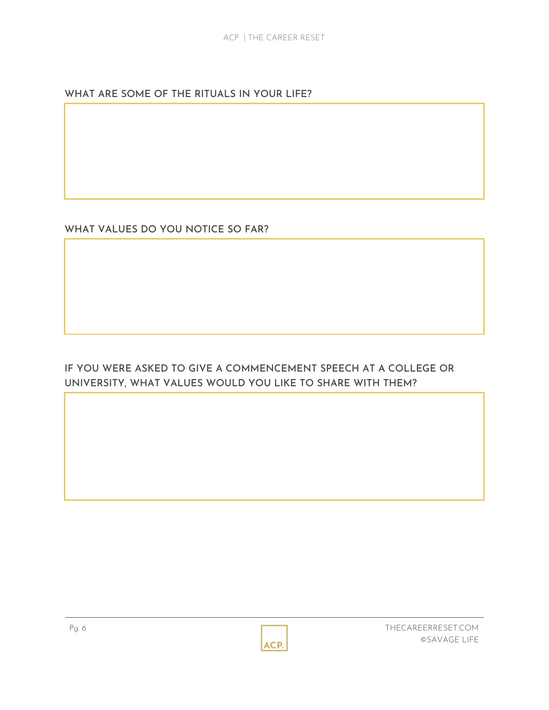WHAT ARE SOME OF THE RITUALS IN YOUR LIFE?

WHAT VALUES DO YOU NOTICE SO FAR?

## IF YOU WERE ASKED TO GIVE A COMMENCEMENT SPEECH AT A COLLEGE OR UNIVERSITY, WHAT VALUES WOULD YOU LIKE TO SHARE WITH THEM?

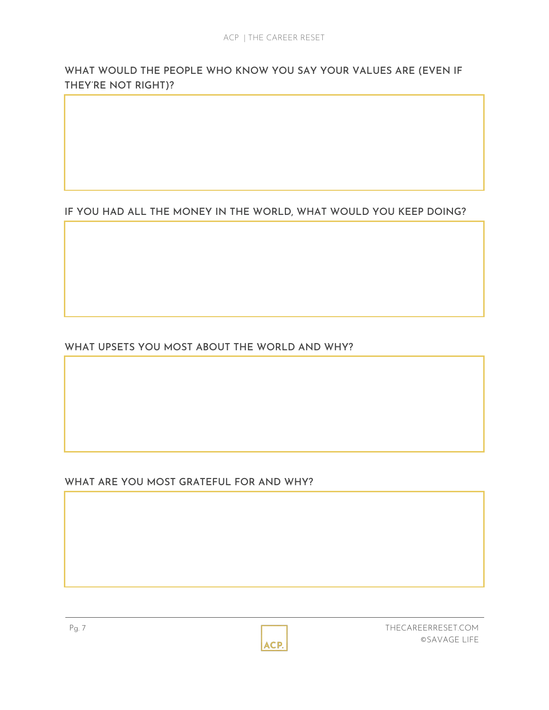#### WHAT WOULD THE PEOPLE WHO KNOW YOU SAY YOUR VALUES ARE (EVEN IF THEY'RE NOT RIGHT)?

IF YOU HAD ALL THE MONEY IN THE WORLD, WHAT WOULD YOU KEEP DOING?

WHAT UPSETS YOU MOST ABOUT THE WORLD AND WHY?

WHAT ARE YOU MOST GRATEFUL FOR AND WHY?

ACP.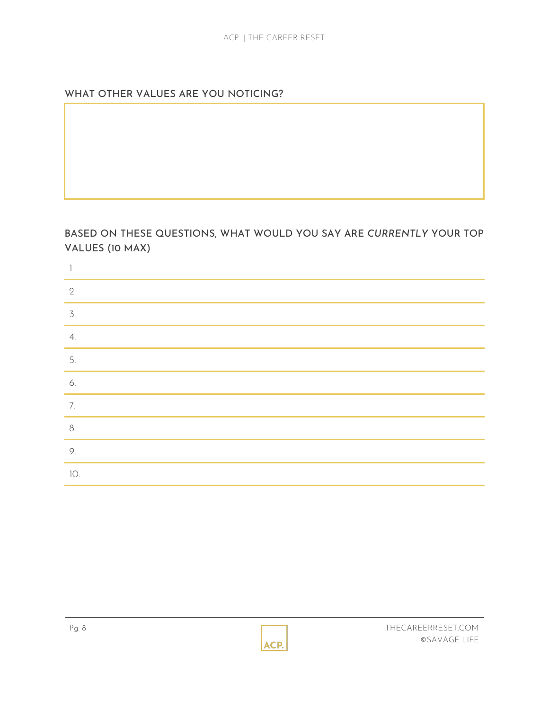## WHAT OTHER VALUES ARE YOU NOTICING?

# BASED ON THESE QUESTIONS, WHAT WOULD YOU SAY ARE *CURRENTLY* YOUR TOP VALUES (10 MAX)

| $\mathbb{L}$ |  |  |
|--------------|--|--|
| 2.           |  |  |
| 3.           |  |  |
| 4.           |  |  |
| 5.           |  |  |
| 6.           |  |  |
| 7.           |  |  |
| 8.           |  |  |
| 9.           |  |  |
| 10.          |  |  |
|              |  |  |

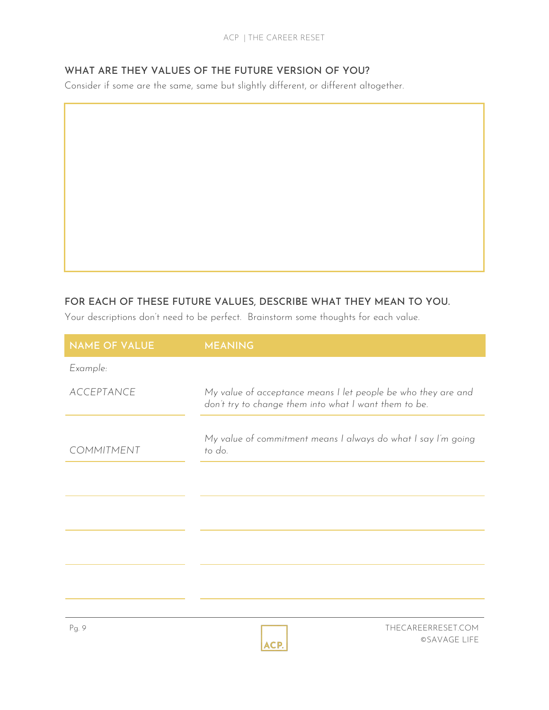#### WHAT ARE THEY VALUES OF THE FUTURE VERSION OF YOU?

Consider if some are the same, same but slightly different, or different altogether.

# FOR EACH OF THESE FUTURE VALUES, DESCRIBE WHAT THEY MEAN TO YOU.

Your descriptions don't need to be perfect. Brainstorm some thoughts for each value.

| <b>NAME OF VALUE</b> | <b>MEANING</b>                                                                                                         |
|----------------------|------------------------------------------------------------------------------------------------------------------------|
| Example:             |                                                                                                                        |
| ACCEPTANCE           | My value of acceptance means I let people be who they are and<br>don't try to change them into what I want them to be. |
| <b>COMMITMENT</b>    | My value of commitment means I always do what I say I'm going<br>to do.                                                |
|                      |                                                                                                                        |
|                      |                                                                                                                        |
|                      |                                                                                                                        |
|                      |                                                                                                                        |
|                      |                                                                                                                        |
| Pg. 9                | THECAREERRESET.COM<br>©SAVAGE LIFE<br>ACP.                                                                             |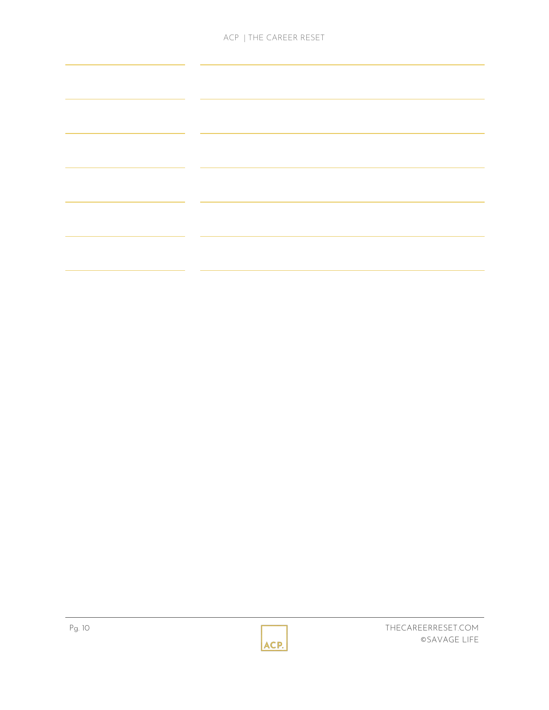